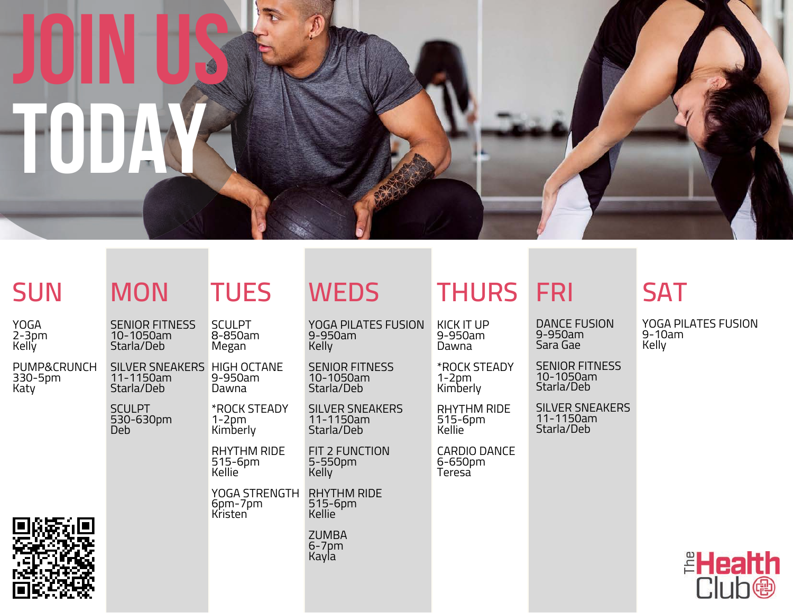

YOGA PILATES FUSION

SENIOR FITNESS 10-1050am Starla/Deb

SILVER SNEAKERS

FIT 2 FUNCTION

11-1150am Starla/Deb

5-550pm Kelly

9-950am **Kelly** 

YOGA 2-3pm Kelly

PUMP&CRUNCH 330-5pm Katy



| N |  | Τl |  |
|---|--|----|--|
|   |  |    |  |

SENIOR FITNESS 10-1050am Starla/Deb **SCULPT** 8-850am **Megan** 

SILVER SNEAKERS HIGH OCTANE 11-1150am Starla/Deb 9-950am Dawna

SCULPT 530-630pm Deb

> RHYTHM RIDE 515-6pm Kellie

1-2pm Kimberly

\*ROCK STEADY

RHYTHM RIDE 515-6pm Kellie YOGA STRENGTH 6pm-7pm Kristen

> ZUMBA 6-7pm **Kayla**

## **SUN MON TUES WEDS THURS FRI SAT**

KICK IT UP 9-950am Dawna

\*ROCK STEADY 1-2pm Kimberly

RHYTHM RIDE 515-6pm Kellie

CARDIO DANCE 6-650pm Teresa

DANCE FUSION

SENIOR FITNESS 10-1050am Starla/Deb

SILVER SNEAKERS 11-1150am Starla/Deb

9-10am **Kelly** 



YOGA PILATES FUSION

9-950am Sara Gae